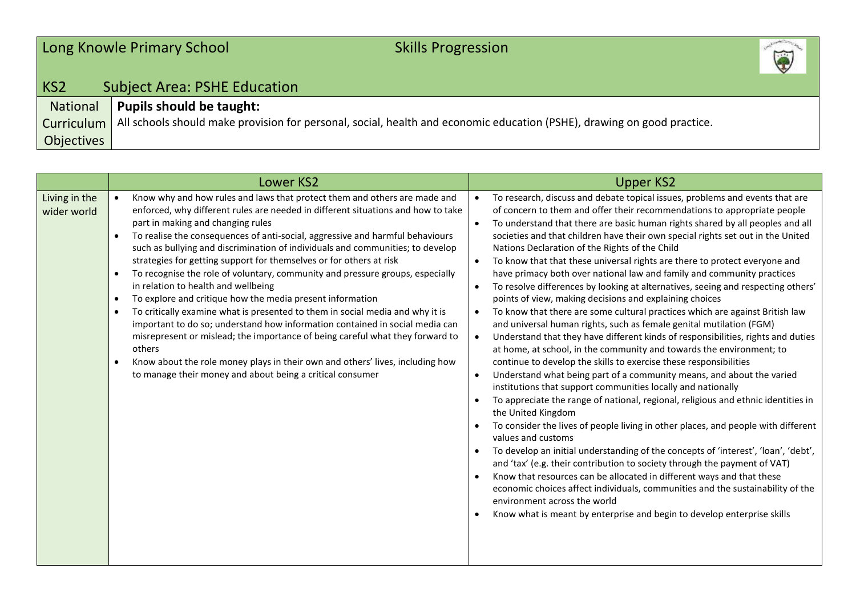## Long Knowle Primary School Skills Progression



## KS2 Subject Area: PSHE Education National **Pupils should be taught:**

**Curriculum** Objectives All schools should make provision for personal, social, health and economic education (PSHE), drawing on good practice.

| <b>Lower KS2</b>                                                                                                                                                                                                                                                                                                                                                                                                                                                                                                                                                                                                                                                                                                                                                                                                                                                                                                                                                                                                                                                                         | <b>Upper KS2</b>                                                                                                                                                                                                                                                                                                                                                                                                                                                                                                                                                                                                                                                                                                                                                                                                                                                                                                                                                                                                                                                                                                                                                                                                                                                                                                                                                                                                                                                                                                                                                                                                                                                                                                                                                                                                                                                                                                                                                                              |
|------------------------------------------------------------------------------------------------------------------------------------------------------------------------------------------------------------------------------------------------------------------------------------------------------------------------------------------------------------------------------------------------------------------------------------------------------------------------------------------------------------------------------------------------------------------------------------------------------------------------------------------------------------------------------------------------------------------------------------------------------------------------------------------------------------------------------------------------------------------------------------------------------------------------------------------------------------------------------------------------------------------------------------------------------------------------------------------|-----------------------------------------------------------------------------------------------------------------------------------------------------------------------------------------------------------------------------------------------------------------------------------------------------------------------------------------------------------------------------------------------------------------------------------------------------------------------------------------------------------------------------------------------------------------------------------------------------------------------------------------------------------------------------------------------------------------------------------------------------------------------------------------------------------------------------------------------------------------------------------------------------------------------------------------------------------------------------------------------------------------------------------------------------------------------------------------------------------------------------------------------------------------------------------------------------------------------------------------------------------------------------------------------------------------------------------------------------------------------------------------------------------------------------------------------------------------------------------------------------------------------------------------------------------------------------------------------------------------------------------------------------------------------------------------------------------------------------------------------------------------------------------------------------------------------------------------------------------------------------------------------------------------------------------------------------------------------------------------------|
| Living in the<br>Know why and how rules and laws that protect them and others are made and<br>enforced, why different rules are needed in different situations and how to take<br>wider world<br>part in making and changing rules<br>To realise the consequences of anti-social, aggressive and harmful behaviours<br>such as bullying and discrimination of individuals and communities; to develop<br>strategies for getting support for themselves or for others at risk<br>To recognise the role of voluntary, community and pressure groups, especially<br>in relation to health and wellbeing<br>To explore and critique how the media present information<br>$\bullet$<br>To critically examine what is presented to them in social media and why it is<br>important to do so; understand how information contained in social media can<br>misrepresent or mislead; the importance of being careful what they forward to<br>others<br>Know about the role money plays in their own and others' lives, including how<br>to manage their money and about being a critical consumer | To research, discuss and debate topical issues, problems and events that are<br>$\bullet$<br>of concern to them and offer their recommendations to appropriate people<br>To understand that there are basic human rights shared by all peoples and all<br>$\bullet$<br>societies and that children have their own special rights set out in the United<br>Nations Declaration of the Rights of the Child<br>To know that that these universal rights are there to protect everyone and<br>$\bullet$<br>have primacy both over national law and family and community practices<br>To resolve differences by looking at alternatives, seeing and respecting others'<br>$\bullet$<br>points of view, making decisions and explaining choices<br>To know that there are some cultural practices which are against British law<br>$\bullet$<br>and universal human rights, such as female genital mutilation (FGM)<br>Understand that they have different kinds of responsibilities, rights and duties<br>$\bullet$<br>at home, at school, in the community and towards the environment; to<br>continue to develop the skills to exercise these responsibilities<br>Understand what being part of a community means, and about the varied<br>$\bullet$<br>institutions that support communities locally and nationally<br>To appreciate the range of national, regional, religious and ethnic identities in<br>the United Kingdom<br>To consider the lives of people living in other places, and people with different<br>values and customs<br>To develop an initial understanding of the concepts of 'interest', 'loan', 'debt',<br>and 'tax' (e.g. their contribution to society through the payment of VAT)<br>Know that resources can be allocated in different ways and that these<br>$\bullet$<br>economic choices affect individuals, communities and the sustainability of the<br>environment across the world<br>Know what is meant by enterprise and begin to develop enterprise skills |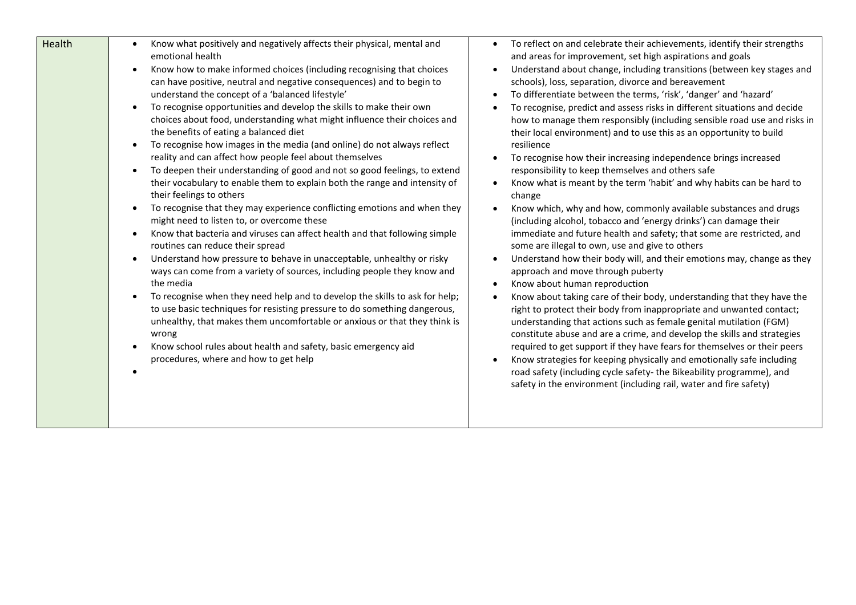| Health | Know what positively and negatively affects their physical, mental and<br>$\bullet$<br>emotional health<br>Know how to make informed choices (including recognising that choices<br>can have positive, neutral and negative consequences) and to begin to<br>understand the concept of a 'balanced lifestyle'<br>To recognise opportunities and develop the skills to make their own<br>$\bullet$<br>choices about food, understanding what might influence their choices and<br>the benefits of eating a balanced diet<br>To recognise how images in the media (and online) do not always reflect<br>$\bullet$<br>reality and can affect how people feel about themselves<br>To deepen their understanding of good and not so good feelings, to extend<br>$\bullet$<br>their vocabulary to enable them to explain both the range and intensity of<br>their feelings to others<br>To recognise that they may experience conflicting emotions and when they<br>$\bullet$<br>might need to listen to, or overcome these<br>Know that bacteria and viruses can affect health and that following simple<br>$\bullet$<br>routines can reduce their spread<br>Understand how pressure to behave in unacceptable, unhealthy or risky<br>$\bullet$<br>ways can come from a variety of sources, including people they know and<br>the media<br>To recognise when they need help and to develop the skills to ask for help;<br>$\bullet$<br>to use basic techniques for resisting pressure to do something dangerous,<br>unhealthy, that makes them uncomfortable or anxious or that they think is<br>wrong<br>Know school rules about health and safety, basic emergency aid<br>$\bullet$<br>procedures, where and how to get help |  |
|--------|---------------------------------------------------------------------------------------------------------------------------------------------------------------------------------------------------------------------------------------------------------------------------------------------------------------------------------------------------------------------------------------------------------------------------------------------------------------------------------------------------------------------------------------------------------------------------------------------------------------------------------------------------------------------------------------------------------------------------------------------------------------------------------------------------------------------------------------------------------------------------------------------------------------------------------------------------------------------------------------------------------------------------------------------------------------------------------------------------------------------------------------------------------------------------------------------------------------------------------------------------------------------------------------------------------------------------------------------------------------------------------------------------------------------------------------------------------------------------------------------------------------------------------------------------------------------------------------------------------------------------------------------------------------------------------------------------------------------------|--|

- To reflect on and celebrate their achievements, identify their strengths and areas for improvement, set high aspirations and goals
- Understand about change, including transitions (between key stages and schools), loss, separation, divorce and bereavement
- To differentiate between the terms, 'risk', 'danger' and 'hazard'
- To recognise, predict and assess risks in different situations and decide how to manage them responsibly (including sensible road use and risks in their local environment) and to use this as an opportunity to build resilience
- To recognise how their increasing independence brings increased responsibility to keep themselves and others safe
- Know what is meant by the term 'habit' and why habits can be hard to change
- Know which, why and how, commonly available substances and drugs (including alcohol, tobacco and 'energy drinks') can damage their immediate and future health and safety; that some are restricted, and some are illegal to own, use and give to others
- Understand how their body will, and their emotions may, change as they approach and move through puberty
- Know about human reproduction
- Know about taking care of their body, understanding that they have the right to protect their body from inappropriate and unwanted contact; understanding that actions such as female genital mutilation (FGM) constitute abuse and are a crime, and develop the skills and strategies required to get support if they have fears for themselves or their peers
- Know strategies for keeping physically and emotionally safe including road safety (including cycle safety- the Bikeability programme), and safety in the environment (including rail, water and fire safety)